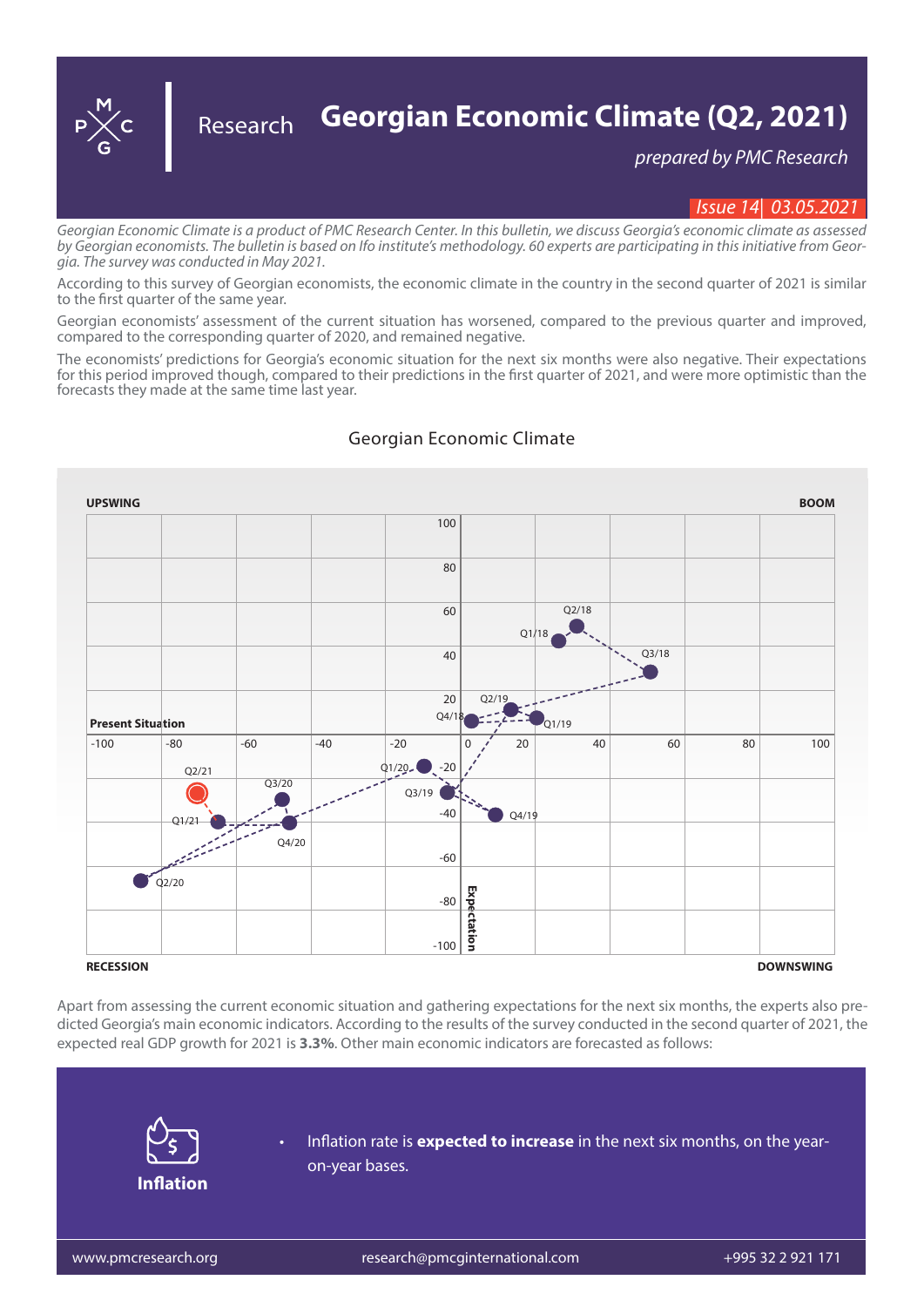**Georgian Economic Climate (Q2, 2021)** *prepared by PMC Research*  Research

## *Issue 14| 03.05.2021*

*Georgian Economic Climate is a product of PMC Research Center. In this bulletin, we discuss Georgia's economic climate as assessed by Georgian economists. The bulletin is based on Ifo institute's methodology. 60 experts are participating in this initiative from Georgia. The survey was conducted in May 2021.*

According to this survey of Georgian economists, the economic climate in the country in the second quarter of 2021 is similar to the first quarter of the same year.

Georgian economists' assessment of the current situation has worsened, compared to the previous quarter and improved, compared to the corresponding quarter of 2020, and remained negative.

The economists' predictions for Georgia's economic situation for the next six months were also negative. Their expectations for this period improved though, compared to their predictions in the first quarter of 2021, and were more optimistic than the forecasts they made at the same time last year.



## Georgian Economic Climate

Apart from assessing the current economic situation and gathering expectations for the next six months, the experts also predicted Georgia's main economic indicators. According to the results of the survey conducted in the second quarter of 2021, the expected real GDP growth for 2021 is **3.3%**. Other main economic indicators are forecasted as follows:



• Inflation rate is **expected to increase** in the next six months, on the yearon-year bases.